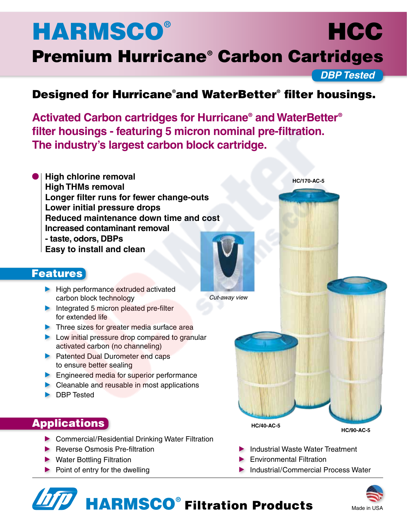# **HARMSCO®**

# Premium Hurricane® Carbon Cartridges

*DBP Tested*

**HCC** 

**HC/170-AC-5**

## Designed for Hurricane® and WaterBetter® filter housings.

*Cut-away view*

**Activated Carbon cartridges for Hurricane® and WaterBetter® filter housings - featuring 5 micron nominal pre-filtration. The industry's largest carbon block cartridge.**

**High chlorine removal High THMs removal Longer filter runs for fewer change-outs Lower initial pressure drops Reduced maintenance down time and cost Increased contaminant removal - taste, odors, DBPs Easy to install and clean**

## **Features**

- High performance extruded activated carbon block technology
- Integrated 5 micron pleated pre-filter for extended life
- **Three sizes for greater media surface area**
- **Low initial pressure drop compared to granular** activated carbon (no channeling)
- **Patented Dual Durometer end caps** to ensure better sealing
- **Engineered media for superior performance**
- ▶ Cleanable and reusable in most applications
- **DBP** Tested

## **Applications**

- ▶ Commercial/Residential Drinking Water Filtration
- 
- 
- 

▶ Reverse Osmosis Pre-filtration Industrial Waste Water Treatment

• Water Bottling Filtration **Environmental Filtration Environmental Filtration** 

**HC/40-AC-5**

▶ Point of entry for the dwelling Industrial/Commercial Process Water



**HC/90-AC-5**

HARMSCO® Filtration Products